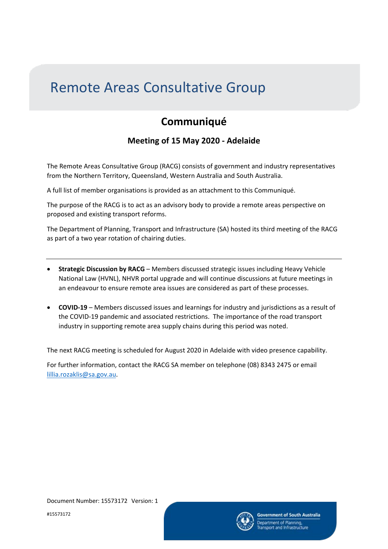## Remote Areas Consultative Group

## **Communiqué**

## **Meeting of 15 May 2020 - Adelaide**

The Remote Areas Consultative Group (RACG) consists of government and industry representatives from the Northern Territory, Queensland, Western Australia and South Australia.

A full list of member organisations is provided as an attachment to this Communiqué.

The purpose of the RACG is to act as an advisory body to provide a remote areas perspective on proposed and existing transport reforms.

The Department of Planning, Transport and Infrastructure (SA) hosted its third meeting of the RACG as part of a two year rotation of chairing duties.

- **Strategic Discussion by RACG** Members discussed strategic issues including Heavy Vehicle National Law (HVNL), NHVR portal upgrade and will continue discussions at future meetings in an endeavour to ensure remote area issues are considered as part of these processes.
- **COVID-19** Members discussed issues and learnings for industry and jurisdictions as a result of the COVID-19 pandemic and associated restrictions. The importance of the road transport industry in supporting remote area supply chains during this period was noted.

The next RACG meeting is scheduled for August 2020 in Adelaide with video presence capability.

For further information, contact the RACG SA member on telephone (08) 8343 2475 or email [lillia.rozaklis@sa.gov.au.](mailto:lillia.rozaklis@sa.gov.au)

#15573172